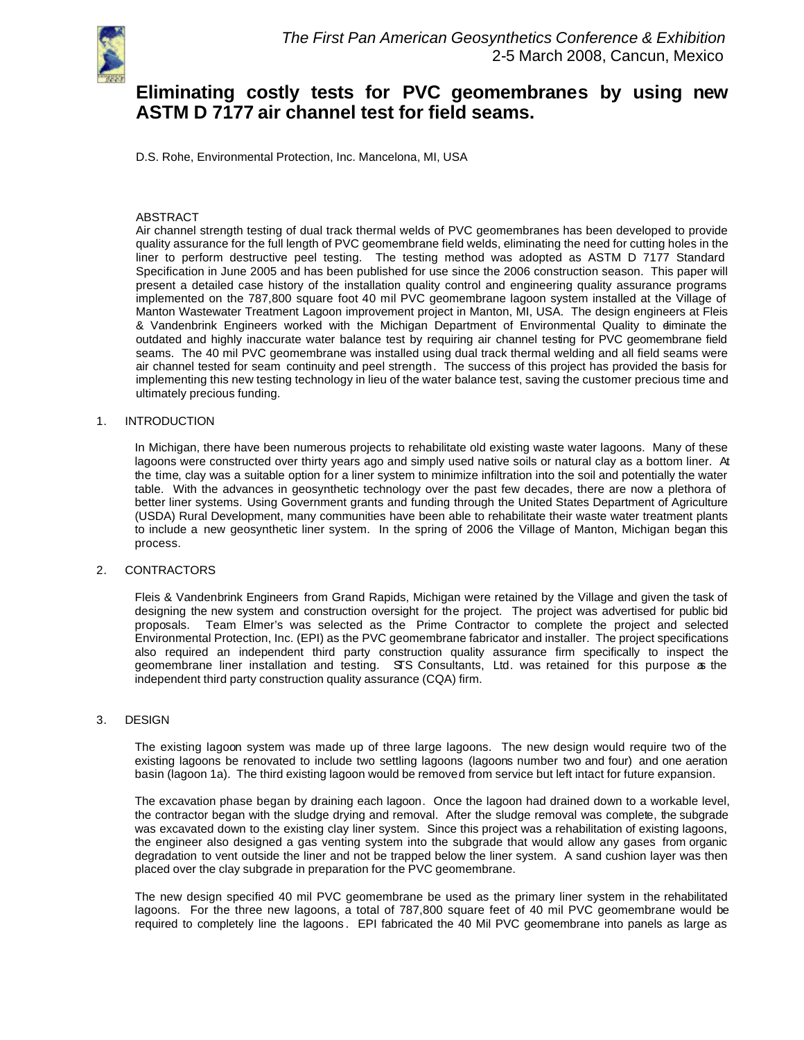

# **Eliminating costly tests for PVC geomembranes by using new ASTM D 7177 air channel test for field seams.**

D.S. Rohe, Environmental Protection, Inc. Mancelona, MI, USA

## ABSTRACT

Air channel strength testing of dual track thermal welds of PVC geomembranes has been developed to provide quality assurance for the full length of PVC geomembrane field welds, eliminating the need for cutting holes in the liner to perform destructive peel testing. The testing method was adopted as ASTM D 7177 Standard Specification in June 2005 and has been published for use since the 2006 construction season. This paper will present a detailed case history of the installation quality control and engineering quality assurance programs implemented on the 787,800 square foot 40 mil PVC geomembrane lagoon system installed at the Village of Manton Wastewater Treatment Lagoon improvement project in Manton, MI, USA. The design engineers at Fleis & Vandenbrink Engineers worked with the Michigan Department of Environmental Quality to eliminate the outdated and highly inaccurate water balance test by requiring air channel testing for PVC geomembrane field seams. The 40 mil PVC geomembrane was installed using dual track thermal welding and all field seams were air channel tested for seam continuity and peel strength. The success of this project has provided the basis for implementing this new testing technology in lieu of the water balance test, saving the customer precious time and ultimately precious funding.

## 1. INTRODUCTION

In Michigan, there have been numerous projects to rehabilitate old existing waste water lagoons. Many of these lagoons were constructed over thirty years ago and simply used native soils or natural clay as a bottom liner. At the time, clay was a suitable option for a liner system to minimize infiltration into the soil and potentially the water table. With the advances in geosynthetic technology over the past few decades, there are now a plethora of better liner systems. Using Government grants and funding through the United States Department of Agriculture (USDA) Rural Development, many communities have been able to rehabilitate their waste water treatment plants to include a new geosynthetic liner system. In the spring of 2006 the Village of Manton, Michigan began this process.

# 2. CONTRACTORS

Fleis & Vandenbrink Engineers from Grand Rapids, Michigan were retained by the Village and given the task of designing the new system and construction oversight for the project. The project was advertised for public bid proposals. Team Elmer's was selected as the Prime Contractor to complete the project and selected Environmental Protection, Inc. (EPI) as the PVC geomembrane fabricator and installer. The project specifications also required an independent third party construction quality assurance firm specifically to inspect the geomembrane liner installation and testing. STS Consultants, Ltd. was retained for this purpose as the independent third party construction quality assurance (CQA) firm.

#### 3. DESIGN

The existing lagoon system was made up of three large lagoons. The new design would require two of the existing lagoons be renovated to include two settling lagoons (lagoons number two and four) and one aeration basin (lagoon 1a). The third existing lagoon would be removed from service but left intact for future expansion.

The excavation phase began by draining each lagoon. Once the lagoon had drained down to a workable level, the contractor began with the sludge drying and removal. After the sludge removal was complete, the subgrade was excavated down to the existing clay liner system. Since this project was a rehabilitation of existing lagoons, the engineer also designed a gas venting system into the subgrade that would allow any gases from organic degradation to vent outside the liner and not be trapped below the liner system. A sand cushion layer was then placed over the clay subgrade in preparation for the PVC geomembrane.

The new design specified 40 mil PVC geomembrane be used as the primary liner system in the rehabilitated lagoons. For the three new lagoons, a total of 787,800 square feet of 40 mil PVC geomembrane would be required to completely line the lagoons . EPI fabricated the 40 Mil PVC geomembrane into panels as large as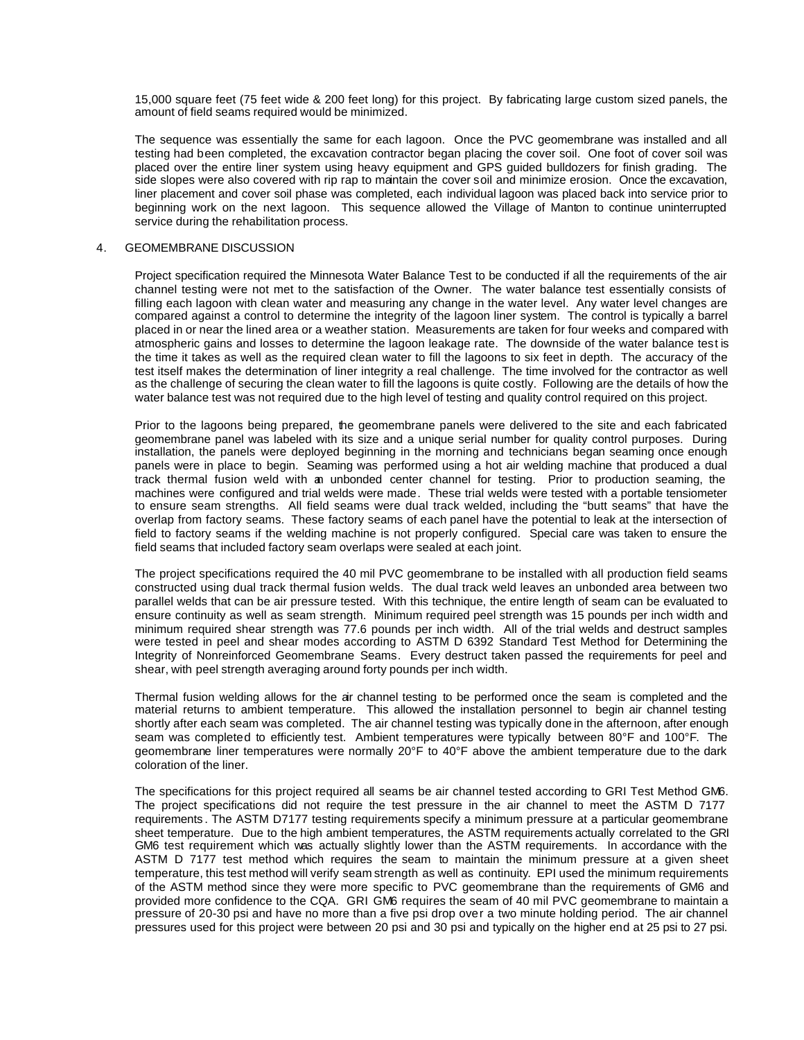15,000 square feet (75 feet wide & 200 feet long) for this project. By fabricating large custom sized panels, the amount of field seams required would be minimized.

The sequence was essentially the same for each lagoon. Once the PVC geomembrane was installed and all testing had been completed, the excavation contractor began placing the cover soil. One foot of cover soil was placed over the entire liner system using heavy equipment and GPS guided bulldozers for finish grading. The side slopes were also covered with rip rap to maintain the cover soil and minimize erosion. Once the excavation, liner placement and cover soil phase was completed, each individual lagoon was placed back into service prior to beginning work on the next lagoon. This sequence allowed the Village of Manton to continue uninterrupted service during the rehabilitation process.

#### 4. GEOMEMBRANE DISCUSSION

Project specification required the Minnesota Water Balance Test to be conducted if all the requirements of the air channel testing were not met to the satisfaction of the Owner. The water balance test essentially consists of filling each lagoon with clean water and measuring any change in the water level. Any water level changes are compared against a control to determine the integrity of the lagoon liner system. The control is typically a barrel placed in or near the lined area or a weather station. Measurements are taken for four weeks and compared with atmospheric gains and losses to determine the lagoon leakage rate. The downside of the water balance test is the time it takes as well as the required clean water to fill the lagoons to six feet in depth. The accuracy of the test itself makes the determination of liner integrity a real challenge. The time involved for the contractor as well as the challenge of securing the clean water to fill the lagoons is quite costly. Following are the details of how the water balance test was not required due to the high level of testing and quality control required on this project.

Prior to the lagoons being prepared, the geomembrane panels were delivered to the site and each fabricated geomembrane panel was labeled with its size and a unique serial number for quality control purposes. During installation, the panels were deployed beginning in the morning and technicians began seaming once enough panels were in place to begin. Seaming was performed using a hot air welding machine that produced a dual track thermal fusion weld with an unbonded center channel for testing. Prior to production seaming, the machines were configured and trial welds were made. These trial welds were tested with a portable tensiometer to ensure seam strengths. All field seams were dual track welded, including the "butt seams" that have the overlap from factory seams. These factory seams of each panel have the potential to leak at the intersection of field to factory seams if the welding machine is not properly configured. Special care was taken to ensure the field seams that included factory seam overlaps were sealed at each joint.

The project specifications required the 40 mil PVC geomembrane to be installed with all production field seams constructed using dual track thermal fusion welds. The dual track weld leaves an unbonded area between two parallel welds that can be air pressure tested. With this technique, the entire length of seam can be evaluated to ensure continuity as well as seam strength. Minimum required peel strength was 15 pounds per inch width and minimum required shear strength was 77.6 pounds per inch width. All of the trial welds and destruct samples were tested in peel and shear modes according to ASTM D 6392 Standard Test Method for Determining the Integrity of Nonreinforced Geomembrane Seams. Every destruct taken passed the requirements for peel and shear, with peel strength averaging around forty pounds per inch width.

Thermal fusion welding allows for the air channel testing to be performed once the seam is completed and the material returns to ambient temperature. This allowed the installation personnel to begin air channel testing shortly after each seam was completed. The air channel testing was typically done in the afternoon, after enough seam was completed to efficiently test. Ambient temperatures were typically between 80°F and 100°F. The geomembrane liner temperatures were normally 20°F to 40°F above the ambient temperature due to the dark coloration of the liner.

The specifications for this project required all seams be air channel tested according to GRI Test Method GM6. The project specifications did not require the test pressure in the air channel to meet the ASTM D 7177 requirements . The ASTM D7177 testing requirements specify a minimum pressure at a particular geomembrane sheet temperature. Due to the high ambient temperatures, the ASTM requirements actually correlated to the GRI GM6 test requirement which was actually slightly lower than the ASTM requirements. In accordance with the ASTM D 7177 test method which requires the seam to maintain the minimum pressure at a given sheet temperature, this test method will verify seam strength as well as continuity. EPI used the minimum requirements of the ASTM method since they were more specific to PVC geomembrane than the requirements of GM6 and provided more confidence to the CQA. GRI GM6 requires the seam of 40 mil PVC geomembrane to maintain a pressure of 20-30 psi and have no more than a five psi drop over a two minute holding period. The air channel pressures used for this project were between 20 psi and 30 psi and typically on the higher end at 25 psi to 27 psi.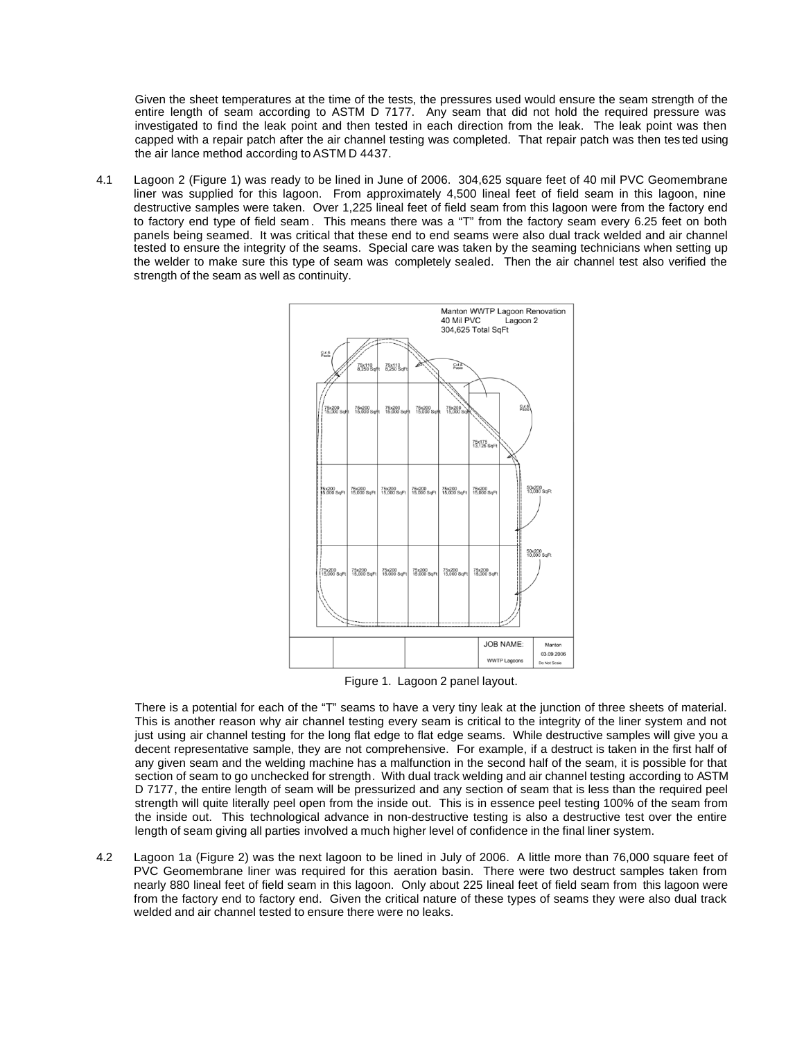Given the sheet temperatures at the time of the tests, the pressures used would ensure the seam strength of the entire length of seam according to ASTM D 7177. Any seam that did not hold the required pressure was investigated to find the leak point and then tested in each direction from the leak. The leak point was then capped with a repair patch after the air channel testing was completed. That repair patch was then tes ted using the air lance method according to ASTM D 4437.

4.1 Lagoon 2 (Figure 1) was ready to be lined in June of 2006. 304,625 square feet of 40 mil PVC Geomembrane liner was supplied for this lagoon. From approximately 4,500 lineal feet of field seam in this lagoon, nine destructive samples were taken. Over 1,225 lineal feet of field seam from this lagoon were from the factory end to factory end type of field seam . This means there was a "T" from the factory seam every 6.25 feet on both panels being seamed. It was critical that these end to end seams were also dual track welded and air channel tested to ensure the integrity of the seams. Special care was taken by the seaming technicians when setting up the welder to make sure this type of seam was completely sealed. Then the air channel test also verified the strength of the seam as well as continuity.



Figure 1. Lagoon 2 panel layout.

There is a potential for each of the "T" seams to have a very tiny leak at the junction of three sheets of material. This is another reason why air channel testing every seam is critical to the integrity of the liner system and not just using air channel testing for the long flat edge to flat edge seams. While destructive samples will give you a decent representative sample, they are not comprehensive. For example, if a destruct is taken in the first half of any given seam and the welding machine has a malfunction in the second half of the seam, it is possible for that section of seam to go unchecked for strength. With dual track welding and air channel testing according to ASTM D 7177, the entire length of seam will be pressurized and any section of seam that is less than the required peel strength will quite literally peel open from the inside out. This is in essence peel testing 100% of the seam from the inside out. This technological advance in non-destructive testing is also a destructive test over the entire length of seam giving all parties involved a much higher level of confidence in the final liner system.

4.2 Lagoon 1a (Figure 2) was the next lagoon to be lined in July of 2006. A little more than 76,000 square feet of PVC Geomembrane liner was required for this aeration basin. There were two destruct samples taken from nearly 880 lineal feet of field seam in this lagoon. Only about 225 lineal feet of field seam from this lagoon were from the factory end to factory end. Given the critical nature of these types of seams they were also dual track welded and air channel tested to ensure there were no leaks.